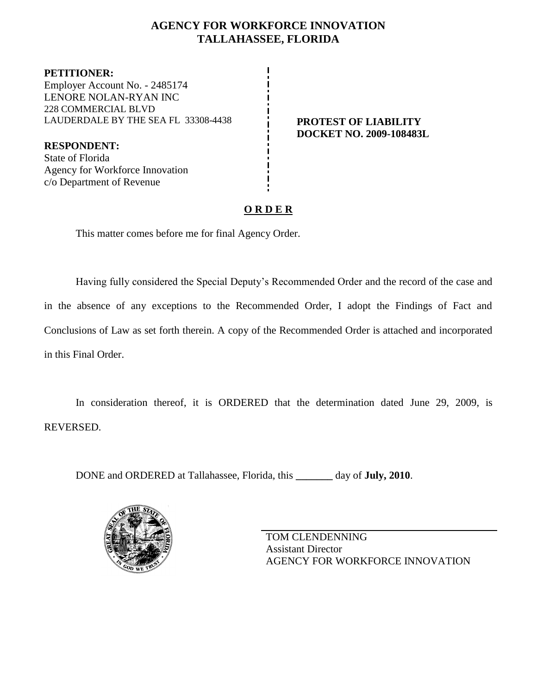# **AGENCY FOR WORKFORCE INNOVATION TALLAHASSEE, FLORIDA**

**PETITIONER:** Employer Account No. - 2485174 LENORE NOLAN-RYAN INC 228 COMMERCIAL BLVD LAUDERDALE BY THE SEA FL 33308-4438 **PROTEST OF LIABILITY**

**RESPONDENT:** State of Florida Agency for Workforce Innovation c/o Department of Revenue

# **DOCKET NO. 2009-108483L**

# **O R D E R**

This matter comes before me for final Agency Order.

Having fully considered the Special Deputy's Recommended Order and the record of the case and in the absence of any exceptions to the Recommended Order, I adopt the Findings of Fact and Conclusions of Law as set forth therein. A copy of the Recommended Order is attached and incorporated in this Final Order.

In consideration thereof, it is ORDERED that the determination dated June 29, 2009, is REVERSED.

DONE and ORDERED at Tallahassee, Florida, this **\_\_\_\_\_\_\_** day of **July, 2010**.



TOM CLENDENNING Assistant Director AGENCY FOR WORKFORCE INNOVATION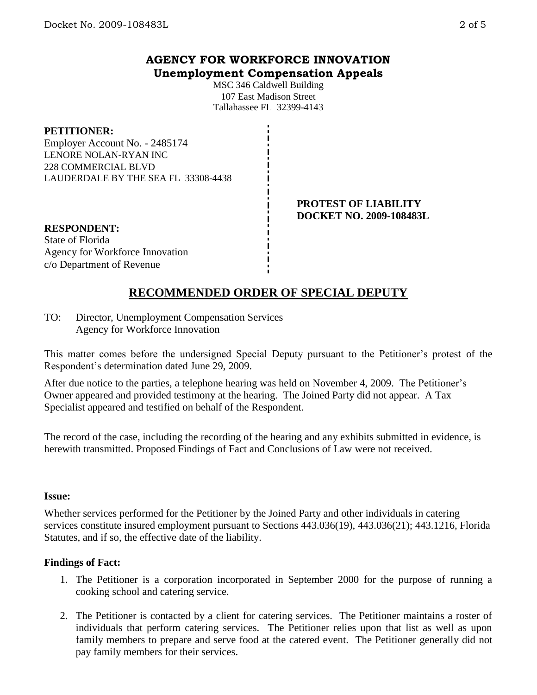# **AGENCY FOR WORKFORCE INNOVATION Unemployment Compensation Appeals**

MSC 346 Caldwell Building 107 East Madison Street Tallahassee FL 32399-4143

#### **PETITIONER:**

Employer Account No. - 2485174 LENORE NOLAN-RYAN INC 228 COMMERCIAL BLVD LAUDERDALE BY THE SEA FL 33308-4438

> **PROTEST OF LIABILITY DOCKET NO. 2009-108483L**

**RESPONDENT:** State of Florida Agency for Workforce Innovation c/o Department of Revenue

# **RECOMMENDED ORDER OF SPECIAL DEPUTY**

TO: Director, Unemployment Compensation Services Agency for Workforce Innovation

This matter comes before the undersigned Special Deputy pursuant to the Petitioner's protest of the Respondent's determination dated June 29, 2009.

After due notice to the parties, a telephone hearing was held on November 4, 2009. The Petitioner's Owner appeared and provided testimony at the hearing. The Joined Party did not appear. A Tax Specialist appeared and testified on behalf of the Respondent.

The record of the case, including the recording of the hearing and any exhibits submitted in evidence, is herewith transmitted. Proposed Findings of Fact and Conclusions of Law were not received.

#### **Issue:**

Whether services performed for the Petitioner by the Joined Party and other individuals in catering services constitute insured employment pursuant to Sections 443.036(19), 443.036(21); 443.1216, Florida Statutes, and if so, the effective date of the liability.

#### **Findings of Fact:**

- 1. The Petitioner is a corporation incorporated in September 2000 for the purpose of running a cooking school and catering service.
- 2. The Petitioner is contacted by a client for catering services. The Petitioner maintains a roster of individuals that perform catering services. The Petitioner relies upon that list as well as upon family members to prepare and serve food at the catered event. The Petitioner generally did not pay family members for their services.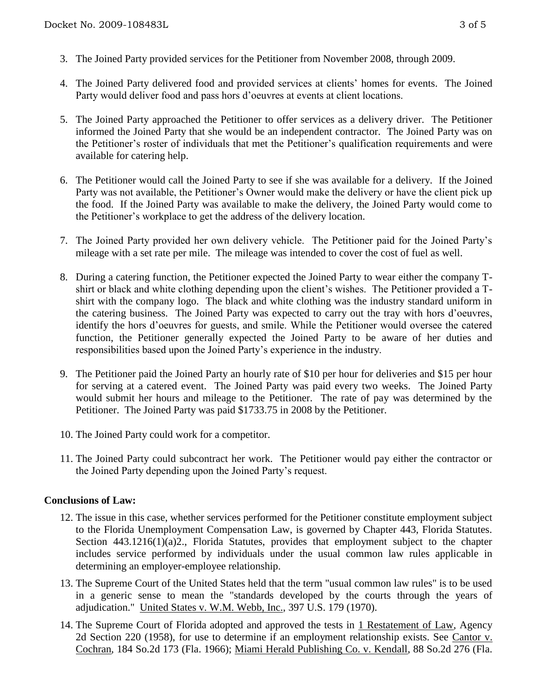- 3. The Joined Party provided services for the Petitioner from November 2008, through 2009.
- 4. The Joined Party delivered food and provided services at clients' homes for events. The Joined Party would deliver food and pass hors d'oeuvres at events at client locations.
- 5. The Joined Party approached the Petitioner to offer services as a delivery driver. The Petitioner informed the Joined Party that she would be an independent contractor. The Joined Party was on the Petitioner's roster of individuals that met the Petitioner's qualification requirements and were available for catering help.
- 6. The Petitioner would call the Joined Party to see if she was available for a delivery. If the Joined Party was not available, the Petitioner's Owner would make the delivery or have the client pick up the food. If the Joined Party was available to make the delivery, the Joined Party would come to the Petitioner's workplace to get the address of the delivery location.
- 7. The Joined Party provided her own delivery vehicle. The Petitioner paid for the Joined Party's mileage with a set rate per mile. The mileage was intended to cover the cost of fuel as well.
- 8. During a catering function, the Petitioner expected the Joined Party to wear either the company Tshirt or black and white clothing depending upon the client's wishes. The Petitioner provided a Tshirt with the company logo. The black and white clothing was the industry standard uniform in the catering business. The Joined Party was expected to carry out the tray with hors d'oeuvres, identify the hors d'oeuvres for guests, and smile. While the Petitioner would oversee the catered function, the Petitioner generally expected the Joined Party to be aware of her duties and responsibilities based upon the Joined Party's experience in the industry.
- 9. The Petitioner paid the Joined Party an hourly rate of \$10 per hour for deliveries and \$15 per hour for serving at a catered event. The Joined Party was paid every two weeks. The Joined Party would submit her hours and mileage to the Petitioner. The rate of pay was determined by the Petitioner. The Joined Party was paid \$1733.75 in 2008 by the Petitioner.
- 10. The Joined Party could work for a competitor.
- 11. The Joined Party could subcontract her work. The Petitioner would pay either the contractor or the Joined Party depending upon the Joined Party's request.

### **Conclusions of Law:**

- 12. The issue in this case, whether services performed for the Petitioner constitute employment subject to the Florida Unemployment Compensation Law, is governed by Chapter 443, Florida Statutes. Section 443.1216(1)(a)2., Florida Statutes, provides that employment subject to the chapter includes service performed by individuals under the usual common law rules applicable in determining an employer-employee relationship.
- 13. The Supreme Court of the United States held that the term "usual common law rules" is to be used in a generic sense to mean the "standards developed by the courts through the years of adjudication." United States v. W.M. Webb, Inc., 397 U.S. 179 (1970).
- 14. The Supreme Court of Florida adopted and approved the tests in 1 Restatement of Law, Agency 2d Section 220 (1958), for use to determine if an employment relationship exists. See Cantor v. Cochran, 184 So.2d 173 (Fla. 1966); Miami Herald Publishing Co. v. Kendall, 88 So.2d 276 (Fla.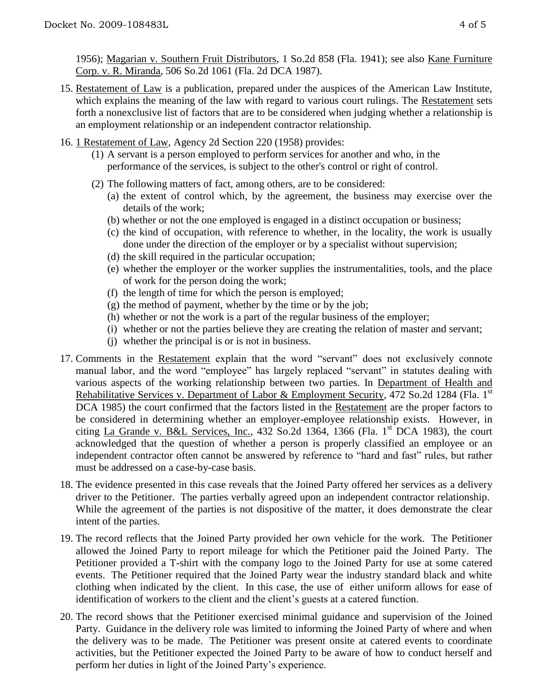1956); Magarian v. Southern Fruit Distributors, 1 So.2d 858 (Fla. 1941); see also Kane Furniture Corp. v. R. Miranda, 506 So.2d 1061 (Fla. 2d DCA 1987).

- 15. Restatement of Law is a publication, prepared under the auspices of the American Law Institute, which explains the meaning of the law with regard to various court rulings. The Restatement sets forth a nonexclusive list of factors that are to be considered when judging whether a relationship is an employment relationship or an independent contractor relationship.
- 16. 1 Restatement of Law, Agency 2d Section 220 (1958) provides:
	- (1) A servant is a person employed to perform services for another and who, in the performance of the services, is subject to the other's control or right of control.
	- (2) The following matters of fact, among others, are to be considered:
		- (a) the extent of control which, by the agreement, the business may exercise over the details of the work;
		- (b) whether or not the one employed is engaged in a distinct occupation or business;
		- (c) the kind of occupation, with reference to whether, in the locality, the work is usually done under the direction of the employer or by a specialist without supervision;
		- (d) the skill required in the particular occupation;
		- (e) whether the employer or the worker supplies the instrumentalities, tools, and the place of work for the person doing the work;
		- (f) the length of time for which the person is employed;
		- $(g)$  the method of payment, whether by the time or by the job;
		- (h) whether or not the work is a part of the regular business of the employer;
		- (i) whether or not the parties believe they are creating the relation of master and servant;
		- (j) whether the principal is or is not in business.
- 17. Comments in the Restatement explain that the word "servant" does not exclusively connote manual labor, and the word "employee" has largely replaced "servant" in statutes dealing with various aspects of the working relationship between two parties. In Department of Health and Rehabilitative Services v. Department of Labor & Employment Security, 472 So.2d 1284 (Fla. 1<sup>st</sup>) DCA 1985) the court confirmed that the factors listed in the Restatement are the proper factors to be considered in determining whether an employer-employee relationship exists. However, in citing La Grande v. B&L Services, Inc.,  $432$  So.2d  $1364$ ,  $1366$  (Fla. 1<sup>st</sup> DCA 1983), the court acknowledged that the question of whether a person is properly classified an employee or an independent contractor often cannot be answered by reference to "hard and fast" rules, but rather must be addressed on a case-by-case basis.
- 18. The evidence presented in this case reveals that the Joined Party offered her services as a delivery driver to the Petitioner. The parties verbally agreed upon an independent contractor relationship. While the agreement of the parties is not dispositive of the matter, it does demonstrate the clear intent of the parties.
- 19. The record reflects that the Joined Party provided her own vehicle for the work. The Petitioner allowed the Joined Party to report mileage for which the Petitioner paid the Joined Party. The Petitioner provided a T-shirt with the company logo to the Joined Party for use at some catered events. The Petitioner required that the Joined Party wear the industry standard black and white clothing when indicated by the client. In this case, the use of either uniform allows for ease of identification of workers to the client and the client's guests at a catered function.
- 20. The record shows that the Petitioner exercised minimal guidance and supervision of the Joined Party. Guidance in the delivery role was limited to informing the Joined Party of where and when the delivery was to be made. The Petitioner was present onsite at catered events to coordinate activities, but the Petitioner expected the Joined Party to be aware of how to conduct herself and perform her duties in light of the Joined Party's experience.